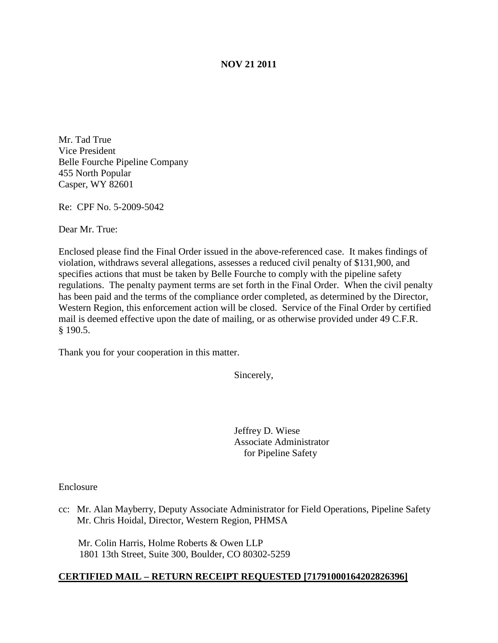### **NOV 21 2011**

Mr. Tad True Vice President Belle Fourche Pipeline Company 455 North Popular Casper, WY 82601

Re: CPF No. 5-2009-5042

Dear Mr. True:

Enclosed please find the Final Order issued in the above-referenced case. It makes findings of violation, withdraws several allegations, assesses a reduced civil penalty of \$131,900, and specifies actions that must be taken by Belle Fourche to comply with the pipeline safety regulations. The penalty payment terms are set forth in the Final Order. When the civil penalty has been paid and the terms of the compliance order completed, as determined by the Director, Western Region, this enforcement action will be closed. Service of the Final Order by certified mail is deemed effective upon the date of mailing, or as otherwise provided under 49 C.F.R. § 190.5.

Thank you for your cooperation in this matter.

Sincerely,

Jeffrey D. Wiese Associate Administrator for Pipeline Safety

Enclosure

cc: Mr. Alan Mayberry, Deputy Associate Administrator for Field Operations, Pipeline Safety Mr. Chris Hoidal, Director, Western Region, PHMSA

 Mr. Colin Harris, Holme Roberts & Owen LLP 1801 13th Street, Suite 300, Boulder, CO 80302-5259

#### **CERTIFIED MAIL – RETURN RECEIPT REQUESTED [71791000164202826396]**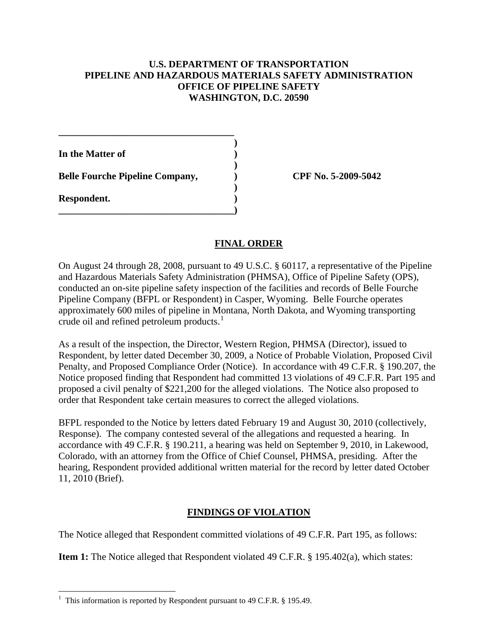## **U.S. DEPARTMENT OF TRANSPORTATION PIPELINE AND HAZARDOUS MATERIALS SAFETY ADMINISTRATION OFFICE OF PIPELINE SAFETY WASHINGTON, D.C. 20590**

**)**

**)**

**)**

**In the Matter of )**

**Belle Fourche Pipeline Company, ) CPF No. 5-2009-5042**

**\_\_\_\_\_\_\_\_\_\_\_\_\_\_\_\_\_\_\_\_\_\_\_\_\_\_\_\_\_\_\_\_\_\_\_\_**

**\_\_\_\_\_\_\_\_\_\_\_\_\_\_\_\_\_\_\_\_\_\_\_\_\_\_\_\_\_\_\_\_\_\_\_\_)**

**Respondent. )**

# **FINAL ORDER**

On August 24 through 28, 2008, pursuant to 49 U.S.C. § 60117, a representative of the Pipeline and Hazardous Materials Safety Administration (PHMSA), Office of Pipeline Safety (OPS), conducted an on-site pipeline safety inspection of the facilities and records of Belle Fourche Pipeline Company (BFPL or Respondent) in Casper, Wyoming. Belle Fourche operates approximately 600 miles of pipeline in Montana, North Dakota, and Wyoming transporting crude oil and refined petroleum products.<sup>[1](#page-1-0)</sup>

As a result of the inspection, the Director, Western Region, PHMSA (Director), issued to Respondent, by letter dated December 30, 2009, a Notice of Probable Violation, Proposed Civil Penalty, and Proposed Compliance Order (Notice). In accordance with 49 C.F.R. § 190.207, the Notice proposed finding that Respondent had committed 13 violations of 49 C.F.R. Part 195 and proposed a civil penalty of \$221,200 for the alleged violations. The Notice also proposed to order that Respondent take certain measures to correct the alleged violations.

BFPL responded to the Notice by letters dated February 19 and August 30, 2010 (collectively, Response). The company contested several of the allegations and requested a hearing. In accordance with 49 C.F.R. § 190.211, a hearing was held on September 9, 2010, in Lakewood, Colorado, with an attorney from the Office of Chief Counsel, PHMSA, presiding. After the hearing, Respondent provided additional written material for the record by letter dated October 11, 2010 (Brief).

# **FINDINGS OF VIOLATION**

The Notice alleged that Respondent committed violations of 49 C.F.R. Part 195, as follows:

**Item 1:** The Notice alleged that Respondent violated 49 C.F.R. § 195.402(a), which states:

<span id="page-1-0"></span> $\frac{1}{1}$  $1$  This information is reported by Respondent pursuant to 49 C.F.R. § 195.49.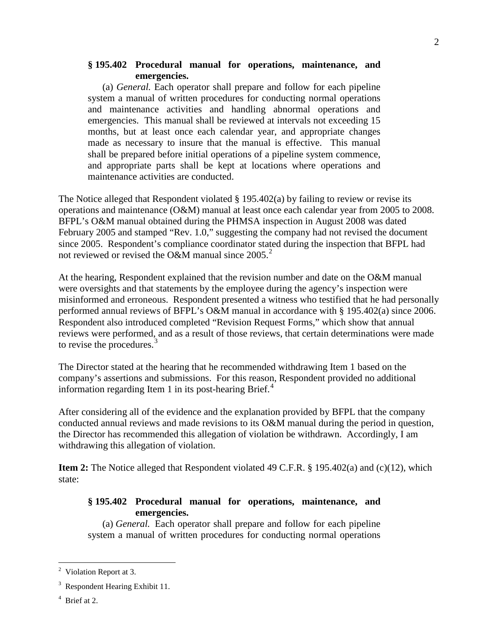### **§ 195.402 Procedural manual for operations, maintenance, and emergencies.**

(a) *General.* Each operator shall prepare and follow for each pipeline system a manual of written procedures for conducting normal operations and maintenance activities and handling abnormal operations and emergencies. This manual shall be reviewed at intervals not exceeding 15 months, but at least once each calendar year, and appropriate changes made as necessary to insure that the manual is effective. This manual shall be prepared before initial operations of a pipeline system commence, and appropriate parts shall be kept at locations where operations and maintenance activities are conducted.

The Notice alleged that Respondent violated  $\S$  195.402(a) by failing to review or revise its operations and maintenance (O&M) manual at least once each calendar year from 2005 to 2008. BFPL's O&M manual obtained during the PHMSA inspection in August 2008 was dated February 2005 and stamped "Rev. 1.0," suggesting the company had not revised the document since 2005. Respondent's compliance coordinator stated during the inspection that BFPL had not reviewed or revised the O&M manual since  $2005.<sup>2</sup>$  $2005.<sup>2</sup>$ 

At the hearing, Respondent explained that the revision number and date on the O&M manual were oversights and that statements by the employee during the agency's inspection were misinformed and erroneous. Respondent presented a witness who testified that he had personally performed annual reviews of BFPL's O&M manual in accordance with § 195.402(a) since 2006. Respondent also introduced completed "Revision Request Forms," which show that annual reviews were performed, and as a result of those reviews, that certain determinations were made to revise the procedures.<sup>[3](#page-2-1)</sup>

The Director stated at the hearing that he recommended withdrawing Item 1 based on the company's assertions and submissions. For this reason, Respondent provided no additional information regarding Item 1 in its post-hearing Brief.<sup>[4](#page-2-2)</sup>

After considering all of the evidence and the explanation provided by BFPL that the company conducted annual reviews and made revisions to its O&M manual during the period in question, the Director has recommended this allegation of violation be withdrawn. Accordingly, I am withdrawing this allegation of violation.

**Item 2:** The Notice alleged that Respondent violated 49 C.F.R. § 195.402(a) and (c)(12), which state:

## **§ 195.402 Procedural manual for operations, maintenance, and emergencies.**

(a) *General.* Each operator shall prepare and follow for each pipeline system a manual of written procedures for conducting normal operations

<span id="page-2-0"></span> $\frac{1}{2}$  $2$  Violation Report at 3.

<span id="page-2-1"></span><sup>&</sup>lt;sup>3</sup> Respondent Hearing Exhibit 11.

<span id="page-2-2"></span><sup>4</sup> Brief at 2.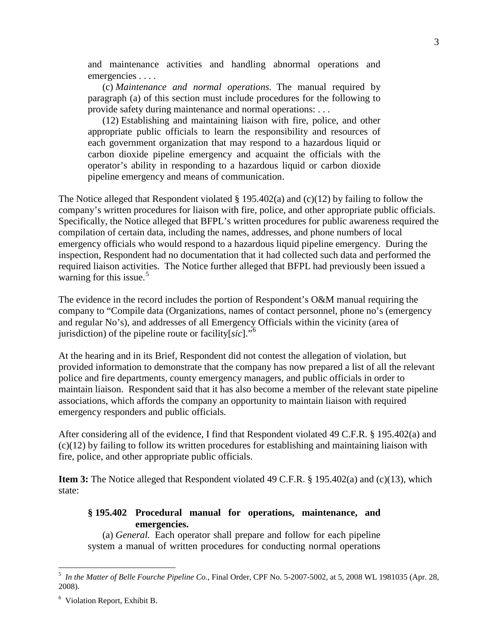and maintenance activities and handling abnormal operations and emergencies . . . .

(c) *Maintenance and normal operations.* The manual required by paragraph (a) of this section must include procedures for the following to provide safety during maintenance and normal operations: . . .

(12) Establishing and maintaining liaison with fire, police, and other appropriate public officials to learn the responsibility and resources of each government organization that may respond to a hazardous liquid or carbon dioxide pipeline emergency and acquaint the officials with the operator's ability in responding to a hazardous liquid or carbon dioxide pipeline emergency and means of communication.

The Notice alleged that Respondent violated § 195.402(a) and (c)(12) by failing to follow the company's written procedures for liaison with fire, police, and other appropriate public officials. Specifically, the Notice alleged that BFPL's written procedures for public awareness required the compilation of certain data, including the names, addresses, and phone numbers of local emergency officials who would respond to a hazardous liquid pipeline emergency. During the inspection, Respondent had no documentation that it had collected such data and performed the required liaison activities. The Notice further alleged that BFPL had previously been issued a warning for this issue. [5](#page-3-0)

The evidence in the record includes the portion of Respondent's O&M manual requiring the company to "Compile data (Organizations, names of contact personnel, phone no's (emergency and regular No's), and addresses of all Emergency Officials within the vicinity (area of jurisdiction) of the pipeline route or facility[*sic*]."[6](#page-3-1)

At the hearing and in its Brief, Respondent did not contest the allegation of violation, but provided information to demonstrate that the company has now prepared a list of all the relevant police and fire departments, county emergency managers, and public officials in order to maintain liaison. Respondent said that it has also become a member of the relevant state pipeline associations, which affords the company an opportunity to maintain liaison with required emergency responders and public officials.

After considering all of the evidence, I find that Respondent violated 49 C.F.R. § 195.402(a) and (c)(12) by failing to follow its written procedures for establishing and maintaining liaison with fire, police, and other appropriate public officials.

**Item 3:** The Notice alleged that Respondent violated 49 C.F.R. § 195.402(a) and (c)(13), which state:

### **§ 195.402 Procedural manual for operations, maintenance, and emergencies.**

(a) *General.* Each operator shall prepare and follow for each pipeline system a manual of written procedures for conducting normal operations

<span id="page-3-0"></span> <sup>5</sup> *In the Matter of Belle Fourche Pipeline Co.*, Final Order, CPF No. 5-2007-5002, at 5, 2008 WL 1981035 (Apr. 28, 2008).

<span id="page-3-1"></span><sup>6</sup> Violation Report, Exhibit B.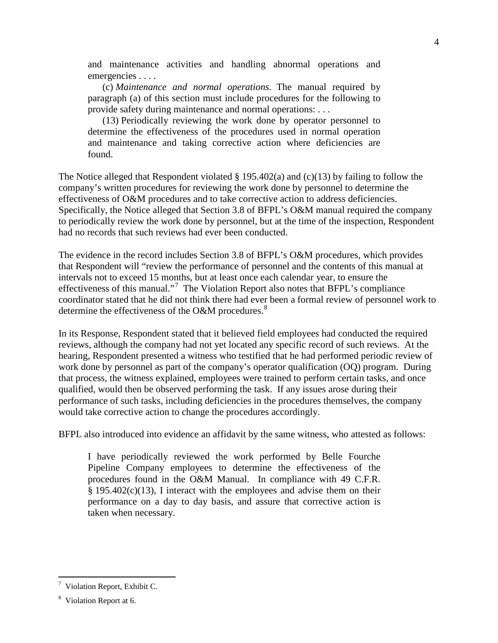and maintenance activities and handling abnormal operations and emergencies . . . .

(c) *Maintenance and normal operations.* The manual required by paragraph (a) of this section must include procedures for the following to provide safety during maintenance and normal operations: . . .

(13) Periodically reviewing the work done by operator personnel to determine the effectiveness of the procedures used in normal operation and maintenance and taking corrective action where deficiencies are found.

The Notice alleged that Respondent violated § 195.402(a) and (c)(13) by failing to follow the company's written procedures for reviewing the work done by personnel to determine the effectiveness of O&M procedures and to take corrective action to address deficiencies. Specifically, the Notice alleged that Section 3.8 of BFPL's O&M manual required the company to periodically review the work done by personnel, but at the time of the inspection, Respondent had no records that such reviews had ever been conducted.

The evidence in the record includes Section 3.8 of BFPL's O&M procedures, which provides that Respondent will "review the performance of personnel and the contents of this manual at intervals not to exceed 15 months, but at least once each calendar year, to ensure the effectiveness of this manual."<sup>[7](#page-4-0)</sup> The Violation Report also notes that BFPL's compliance coordinator stated that he did not think there had ever been a formal review of personnel work to determine the effectiveness of the O&M procedures. $8$ 

In its Response, Respondent stated that it believed field employees had conducted the required reviews, although the company had not yet located any specific record of such reviews. At the hearing, Respondent presented a witness who testified that he had performed periodic review of work done by personnel as part of the company's operator qualification (OQ) program. During that process, the witness explained, employees were trained to perform certain tasks, and once qualified, would then be observed performing the task. If any issues arose during their performance of such tasks, including deficiencies in the procedures themselves, the company would take corrective action to change the procedures accordingly.

BFPL also introduced into evidence an affidavit by the same witness, who attested as follows:

I have periodically reviewed the work performed by Belle Fourche Pipeline Company employees to determine the effectiveness of the procedures found in the O&M Manual. In compliance with 49 C.F.R. § 195.402(c)(13), I interact with the employees and advise them on their performance on a day to day basis, and assure that corrective action is taken when necessary.

<span id="page-4-0"></span><sup>-&</sup>lt;br>7  $\frac{7}{7}$  Violation Report, Exhibit C.

<span id="page-4-1"></span><sup>&</sup>lt;sup>8</sup> Violation Report at 6.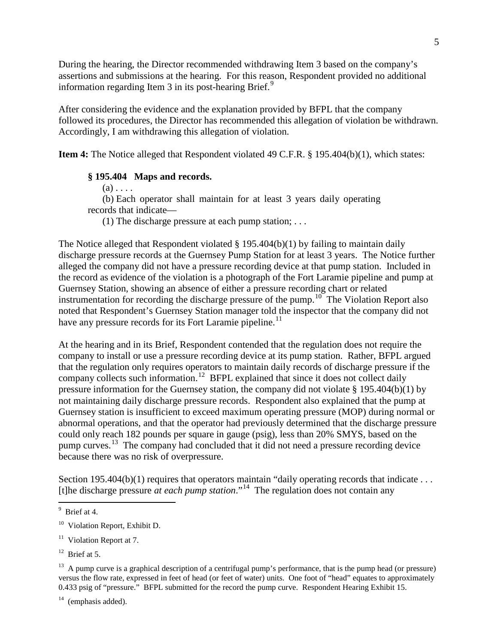During the hearing, the Director recommended withdrawing Item 3 based on the company's assertions and submissions at the hearing. For this reason, Respondent provided no additional information regarding Item  $3$  in its post-hearing Brief.<sup>[9](#page-5-0)</sup>

After considering the evidence and the explanation provided by BFPL that the company followed its procedures, the Director has recommended this allegation of violation be withdrawn. Accordingly, I am withdrawing this allegation of violation.

**Item 4:** The Notice alleged that Respondent violated 49 C.F.R. § 195.404(b)(1), which states:

### **§ 195.404 Maps and records.**

 $(a) \ldots$ .

(b) Each operator shall maintain for at least 3 years daily operating records that indicate—

(1) The discharge pressure at each pump station; . . .

The Notice alleged that Respondent violated  $\S 195.404(b)(1)$  by failing to maintain daily discharge pressure records at the Guernsey Pump Station for at least 3 years. The Notice further alleged the company did not have a pressure recording device at that pump station. Included in the record as evidence of the violation is a photograph of the Fort Laramie pipeline and pump at Guernsey Station, showing an absence of either a pressure recording chart or related instrumentation for recording the discharge pressure of the pump.<sup>10</sup> The Violation Report also noted that Respondent's Guernsey Station manager told the inspector that the company did not have any pressure records for its Fort Laramie pipeline.<sup>[11](#page-5-2)</sup>

At the hearing and in its Brief, Respondent contended that the regulation does not require the company to install or use a pressure recording device at its pump station. Rather, BFPL argued that the regulation only requires operators to maintain daily records of discharge pressure if the company collects such information.<sup>[12](#page-5-3)</sup> BFPL explained that since it does not collect daily pressure information for the Guernsey station, the company did not violate § 195.404(b)(1) by not maintaining daily discharge pressure records. Respondent also explained that the pump at Guernsey station is insufficient to exceed maximum operating pressure (MOP) during normal or abnormal operations, and that the operator had previously determined that the discharge pressure could only reach 182 pounds per square in gauge (psig), less than 20% SMYS, based on the pump curves.<sup>[13](#page-5-4)</sup> The company had concluded that it did not need a pressure recording device because there was no risk of overpressure.

Section 195.404(b)(1) requires that operators maintain "daily operating records that indicate . . . [t]he discharge pressure *at each pump station*."[14](#page-5-5) The regulation does not contain any

<span id="page-5-0"></span><sup>-&</sup>lt;br>9 <sup>9</sup> Brief at 4.

<span id="page-5-1"></span><sup>&</sup>lt;sup>10</sup> Violation Report, Exhibit D.

<span id="page-5-2"></span> $11$  Violation Report at 7.

<span id="page-5-3"></span> $12$  Brief at 5.

<span id="page-5-4"></span><sup>&</sup>lt;sup>13</sup> A pump curve is a graphical description of a centrifugal pump's performance, that is the pump head (or pressure) versus the flow rate, expressed in feet of head (or feet of water) units. One foot of "head" equates to approximately 0.433 psig of "pressure." BFPL submitted for the record the pump curve. Respondent Hearing Exhibit 15.

<span id="page-5-5"></span> $14$  (emphasis added).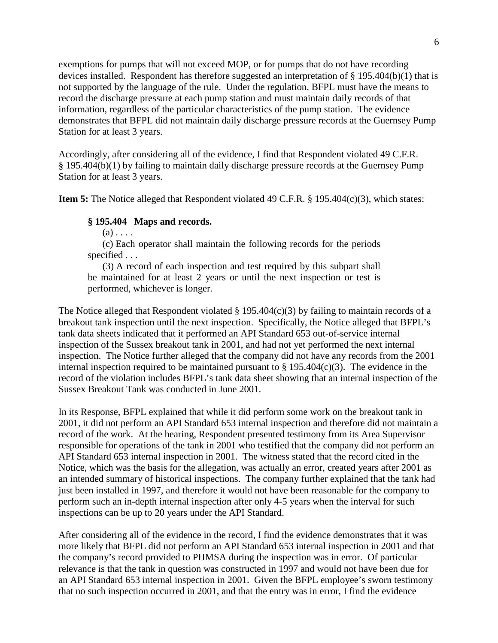exemptions for pumps that will not exceed MOP, or for pumps that do not have recording devices installed. Respondent has therefore suggested an interpretation of § 195.404(b)(1) that is not supported by the language of the rule. Under the regulation, BFPL must have the means to record the discharge pressure at each pump station and must maintain daily records of that information, regardless of the particular characteristics of the pump station. The evidence demonstrates that BFPL did not maintain daily discharge pressure records at the Guernsey Pump Station for at least 3 years.

Accordingly, after considering all of the evidence, I find that Respondent violated 49 C.F.R. § 195.404(b)(1) by failing to maintain daily discharge pressure records at the Guernsey Pump Station for at least 3 years.

**Item 5:** The Notice alleged that Respondent violated 49 C.F.R. § 195.404(c)(3), which states:

#### **§ 195.404 Maps and records.**

 $(a) \ldots$ .

(c) Each operator shall maintain the following records for the periods specified . . .

(3) A record of each inspection and test required by this subpart shall be maintained for at least 2 years or until the next inspection or test is performed, whichever is longer.

The Notice alleged that Respondent violated  $\S 195.404(c)(3)$  by failing to maintain records of a breakout tank inspection until the next inspection. Specifically, the Notice alleged that BFPL's tank data sheets indicated that it performed an API Standard 653 out-of-service internal inspection of the Sussex breakout tank in 2001, and had not yet performed the next internal inspection. The Notice further alleged that the company did not have any records from the 2001 internal inspection required to be maintained pursuant to  $\S 195.404(c)(3)$ . The evidence in the record of the violation includes BFPL's tank data sheet showing that an internal inspection of the Sussex Breakout Tank was conducted in June 2001.

In its Response, BFPL explained that while it did perform some work on the breakout tank in 2001, it did not perform an API Standard 653 internal inspection and therefore did not maintain a record of the work. At the hearing, Respondent presented testimony from its Area Supervisor responsible for operations of the tank in 2001 who testified that the company did not perform an API Standard 653 internal inspection in 2001. The witness stated that the record cited in the Notice, which was the basis for the allegation, was actually an error, created years after 2001 as an intended summary of historical inspections. The company further explained that the tank had just been installed in 1997, and therefore it would not have been reasonable for the company to perform such an in-depth internal inspection after only 4-5 years when the interval for such inspections can be up to 20 years under the API Standard.

After considering all of the evidence in the record, I find the evidence demonstrates that it was more likely that BFPL did not perform an API Standard 653 internal inspection in 2001 and that the company's record provided to PHMSA during the inspection was in error. Of particular relevance is that the tank in question was constructed in 1997 and would not have been due for an API Standard 653 internal inspection in 2001. Given the BFPL employee's sworn testimony that no such inspection occurred in 2001, and that the entry was in error, I find the evidence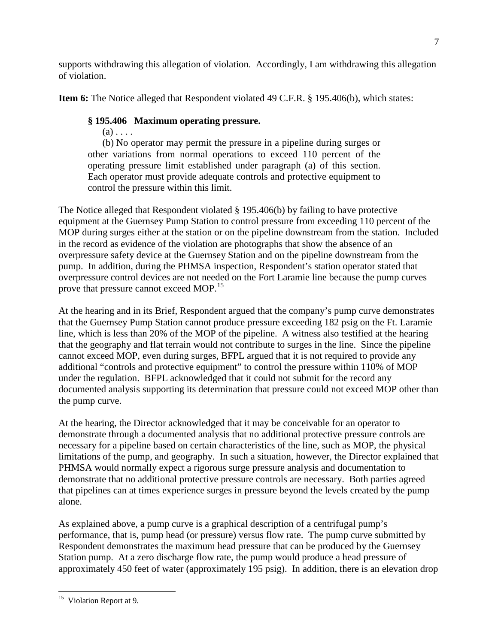supports withdrawing this allegation of violation. Accordingly, I am withdrawing this allegation of violation.

**Item 6:** The Notice alleged that Respondent violated 49 C.F.R. § 195.406(b), which states:

# **§ 195.406 Maximum operating pressure.**

 $(a)$ ...

(b) No operator may permit the pressure in a pipeline during surges or other variations from normal operations to exceed 110 percent of the operating pressure limit established under paragraph (a) of this section. Each operator must provide adequate controls and protective equipment to control the pressure within this limit.

The Notice alleged that Respondent violated § 195.406(b) by failing to have protective equipment at the Guernsey Pump Station to control pressure from exceeding 110 percent of the MOP during surges either at the station or on the pipeline downstream from the station. Included in the record as evidence of the violation are photographs that show the absence of an overpressure safety device at the Guernsey Station and on the pipeline downstream from the pump. In addition, during the PHMSA inspection, Respondent's station operator stated that overpressure control devices are not needed on the Fort Laramie line because the pump curves prove that pressure cannot exceed MOP.<sup>[15](#page-7-0)</sup>

At the hearing and in its Brief, Respondent argued that the company's pump curve demonstrates that the Guernsey Pump Station cannot produce pressure exceeding 182 psig on the Ft. Laramie line, which is less than 20% of the MOP of the pipeline. A witness also testified at the hearing that the geography and flat terrain would not contribute to surges in the line. Since the pipeline cannot exceed MOP, even during surges, BFPL argued that it is not required to provide any additional "controls and protective equipment" to control the pressure within 110% of MOP under the regulation. BFPL acknowledged that it could not submit for the record any documented analysis supporting its determination that pressure could not exceed MOP other than the pump curve.

At the hearing, the Director acknowledged that it may be conceivable for an operator to demonstrate through a documented analysis that no additional protective pressure controls are necessary for a pipeline based on certain characteristics of the line, such as MOP, the physical limitations of the pump, and geography. In such a situation, however, the Director explained that PHMSA would normally expect a rigorous surge pressure analysis and documentation to demonstrate that no additional protective pressure controls are necessary. Both parties agreed that pipelines can at times experience surges in pressure beyond the levels created by the pump alone.

As explained above, a pump curve is a graphical description of a centrifugal pump's performance, that is, pump head (or pressure) versus flow rate. The pump curve submitted by Respondent demonstrates the maximum head pressure that can be produced by the Guernsey Station pump. At a zero discharge flow rate, the pump would produce a head pressure of approximately 450 feet of water (approximately 195 psig). In addition, there is an elevation drop

<span id="page-7-0"></span><sup>&</sup>lt;sup>15</sup> Violation Report at 9.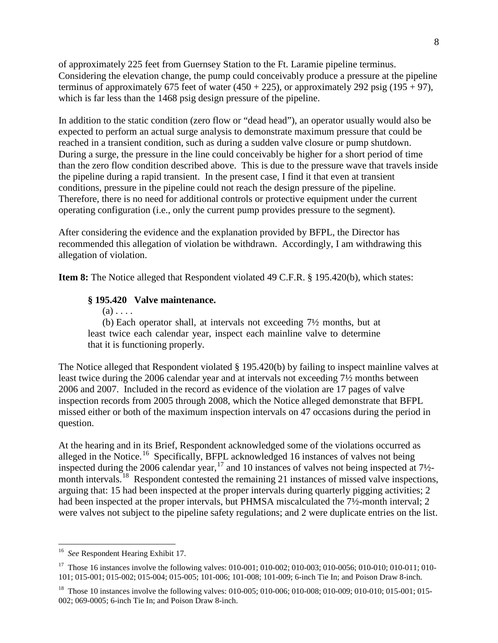of approximately 225 feet from Guernsey Station to the Ft. Laramie pipeline terminus. Considering the elevation change, the pump could conceivably produce a pressure at the pipeline terminus of approximately 675 feet of water  $(450 + 225)$ , or approximately 292 psig  $(195 + 97)$ , which is far less than the 1468 psig design pressure of the pipeline.

In addition to the static condition (zero flow or "dead head"), an operator usually would also be expected to perform an actual surge analysis to demonstrate maximum pressure that could be reached in a transient condition, such as during a sudden valve closure or pump shutdown. During a surge, the pressure in the line could conceivably be higher for a short period of time than the zero flow condition described above. This is due to the pressure wave that travels inside the pipeline during a rapid transient. In the present case, I find it that even at transient conditions, pressure in the pipeline could not reach the design pressure of the pipeline. Therefore, there is no need for additional controls or protective equipment under the current operating configuration (i.e., only the current pump provides pressure to the segment).

After considering the evidence and the explanation provided by BFPL, the Director has recommended this allegation of violation be withdrawn. Accordingly, I am withdrawing this allegation of violation.

**Item 8:** The Notice alleged that Respondent violated 49 C.F.R. § 195.420(b), which states:

#### **§ 195.420 Valve maintenance.**

 $(a)$ ...

(b) Each operator shall, at intervals not exceeding 7½ months, but at least twice each calendar year, inspect each mainline valve to determine that it is functioning properly.

The Notice alleged that Respondent violated § 195.420(b) by failing to inspect mainline valves at least twice during the 2006 calendar year and at intervals not exceeding 7½ months between 2006 and 2007. Included in the record as evidence of the violation are 17 pages of valve inspection records from 2005 through 2008, which the Notice alleged demonstrate that BFPL missed either or both of the maximum inspection intervals on 47 occasions during the period in question.

At the hearing and in its Brief, Respondent acknowledged some of the violations occurred as alleged in the Notice.<sup>[16](#page-8-0)</sup> Specifically, BFPL acknowledged 16 instances of valves not being inspected during the 2006 calendar year,  $^{17}$  $^{17}$  $^{17}$  and 10 instances of valves not being inspected at 7½month intervals.<sup>18</sup> Respondent contested the remaining 21 instances of missed valve inspections, arguing that: 15 had been inspected at the proper intervals during quarterly pigging activities; 2 had been inspected at the proper intervals, but PHMSA miscalculated the 7½-month interval; 2 were valves not subject to the pipeline safety regulations; and 2 were duplicate entries on the list.

<span id="page-8-0"></span> <sup>16</sup> *See* Respondent Hearing Exhibit 17.

<span id="page-8-1"></span><sup>&</sup>lt;sup>17</sup> Those 16 instances involve the following valves: 010-001; 010-002; 010-003; 010-0056; 010-010; 010-011; 010-101; 015-001; 015-002; 015-004; 015-005; 101-006; 101-008; 101-009; 6-inch Tie In; and Poison Draw 8-inch.

<span id="page-8-2"></span><sup>&</sup>lt;sup>18</sup> Those 10 instances involve the following valves: 010-005; 010-006; 010-008; 010-009; 010-010; 015-001; 015-002; 069-0005; 6-inch Tie In; and Poison Draw 8-inch.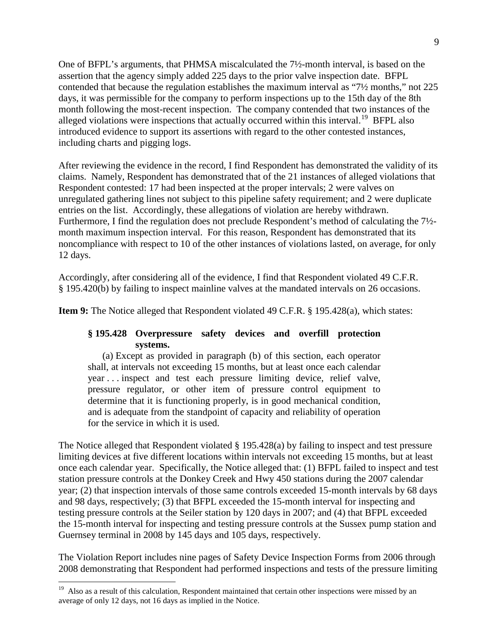One of BFPL's arguments, that PHMSA miscalculated the 7½-month interval, is based on the assertion that the agency simply added 225 days to the prior valve inspection date. BFPL contended that because the regulation establishes the maximum interval as "7½ months," not 225 days, it was permissible for the company to perform inspections up to the 15th day of the 8th month following the most-recent inspection. The company contended that two instances of the alleged violations were inspections that actually occurred within this interval.<sup>19</sup> BFPL also introduced evidence to support its assertions with regard to the other contested instances, including charts and pigging logs.

After reviewing the evidence in the record, I find Respondent has demonstrated the validity of its claims. Namely, Respondent has demonstrated that of the 21 instances of alleged violations that Respondent contested: 17 had been inspected at the proper intervals; 2 were valves on unregulated gathering lines not subject to this pipeline safety requirement; and 2 were duplicate entries on the list. Accordingly, these allegations of violation are hereby withdrawn. Furthermore, I find the regulation does not preclude Respondent's method of calculating the 7½ month maximum inspection interval. For this reason, Respondent has demonstrated that its noncompliance with respect to 10 of the other instances of violations lasted, on average, for only 12 days.

Accordingly, after considering all of the evidence, I find that Respondent violated 49 C.F.R. § 195.420(b) by failing to inspect mainline valves at the mandated intervals on 26 occasions.

**Item 9:** The Notice alleged that Respondent violated 49 C.F.R. § 195.428(a), which states:

## **§ 195.428 Overpressure safety devices and overfill protection systems.**

(a) Except as provided in paragraph (b) of this section, each operator shall, at intervals not exceeding 15 months, but at least once each calendar year . . . inspect and test each pressure limiting device, relief valve, pressure regulator, or other item of pressure control equipment to determine that it is functioning properly, is in good mechanical condition, and is adequate from the standpoint of capacity and reliability of operation for the service in which it is used.

The Notice alleged that Respondent violated § 195.428(a) by failing to inspect and test pressure limiting devices at five different locations within intervals not exceeding 15 months, but at least once each calendar year. Specifically, the Notice alleged that: (1) BFPL failed to inspect and test station pressure controls at the Donkey Creek and Hwy 450 stations during the 2007 calendar year; (2) that inspection intervals of those same controls exceeded 15-month intervals by 68 days and 98 days, respectively; (3) that BFPL exceeded the 15-month interval for inspecting and testing pressure controls at the Seiler station by 120 days in 2007; and (4) that BFPL exceeded the 15-month interval for inspecting and testing pressure controls at the Sussex pump station and Guernsey terminal in 2008 by 145 days and 105 days, respectively.

The Violation Report includes nine pages of Safety Device Inspection Forms from 2006 through 2008 demonstrating that Respondent had performed inspections and tests of the pressure limiting

<span id="page-9-0"></span><sup>&</sup>lt;sup>19</sup> Also as a result of this calculation, Respondent maintained that certain other inspections were missed by an average of only 12 days, not 16 days as implied in the Notice.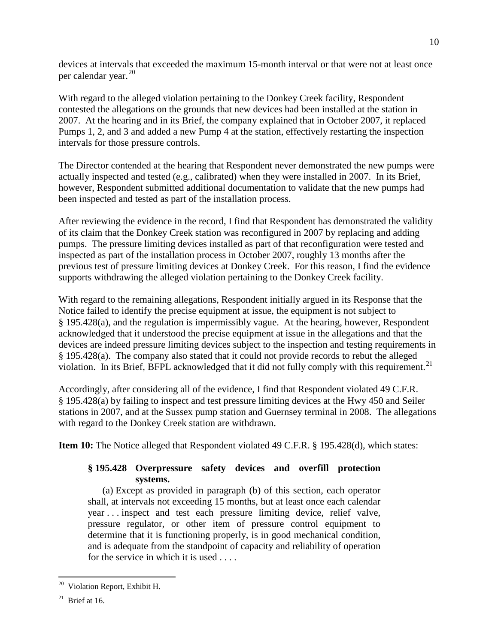devices at intervals that exceeded the maximum 15-month interval or that were not at least once per calendar year. [20](#page-10-0)

With regard to the alleged violation pertaining to the Donkey Creek facility, Respondent contested the allegations on the grounds that new devices had been installed at the station in 2007. At the hearing and in its Brief, the company explained that in October 2007, it replaced Pumps 1, 2, and 3 and added a new Pump 4 at the station, effectively restarting the inspection intervals for those pressure controls.

The Director contended at the hearing that Respondent never demonstrated the new pumps were actually inspected and tested (e.g., calibrated) when they were installed in 2007. In its Brief, however, Respondent submitted additional documentation to validate that the new pumps had been inspected and tested as part of the installation process.

After reviewing the evidence in the record, I find that Respondent has demonstrated the validity of its claim that the Donkey Creek station was reconfigured in 2007 by replacing and adding pumps. The pressure limiting devices installed as part of that reconfiguration were tested and inspected as part of the installation process in October 2007, roughly 13 months after the previous test of pressure limiting devices at Donkey Creek. For this reason, I find the evidence supports withdrawing the alleged violation pertaining to the Donkey Creek facility.

With regard to the remaining allegations, Respondent initially argued in its Response that the Notice failed to identify the precise equipment at issue, the equipment is not subject to § 195.428(a), and the regulation is impermissibly vague. At the hearing, however, Respondent acknowledged that it understood the precise equipment at issue in the allegations and that the devices are indeed pressure limiting devices subject to the inspection and testing requirements in § 195.428(a). The company also stated that it could not provide records to rebut the alleged violation. In its Brief, BFPL acknowledged that it did not fully comply with this requirement.<sup>[21](#page-10-1)</sup>

Accordingly, after considering all of the evidence, I find that Respondent violated 49 C.F.R. § 195.428(a) by failing to inspect and test pressure limiting devices at the Hwy 450 and Seiler stations in 2007, and at the Sussex pump station and Guernsey terminal in 2008. The allegations with regard to the Donkey Creek station are withdrawn.

**Item 10:** The Notice alleged that Respondent violated 49 C.F.R. § 195.428(d), which states:

## **§ 195.428 Overpressure safety devices and overfill protection systems.**

(a) Except as provided in paragraph (b) of this section, each operator shall, at intervals not exceeding 15 months, but at least once each calendar year . . . inspect and test each pressure limiting device, relief valve, pressure regulator, or other item of pressure control equipment to determine that it is functioning properly, is in good mechanical condition, and is adequate from the standpoint of capacity and reliability of operation for the service in which it is used . . . .

<span id="page-10-1"></span><span id="page-10-0"></span> <sup>20</sup> Violation Report, Exhibit H.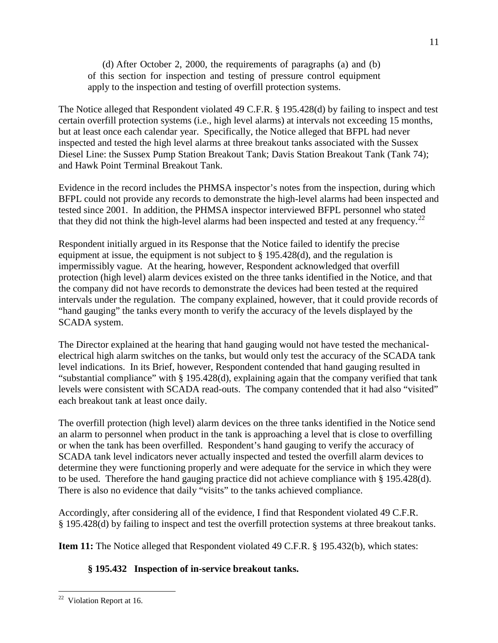(d) After October 2, 2000, the requirements of paragraphs (a) and (b) of this section for inspection and testing of pressure control equipment apply to the inspection and testing of overfill protection systems.

The Notice alleged that Respondent violated 49 C.F.R. § 195.428(d) by failing to inspect and test certain overfill protection systems (i.e., high level alarms) at intervals not exceeding 15 months, but at least once each calendar year. Specifically, the Notice alleged that BFPL had never inspected and tested the high level alarms at three breakout tanks associated with the Sussex Diesel Line: the Sussex Pump Station Breakout Tank; Davis Station Breakout Tank (Tank 74); and Hawk Point Terminal Breakout Tank.

Evidence in the record includes the PHMSA inspector's notes from the inspection, during which BFPL could not provide any records to demonstrate the high-level alarms had been inspected and tested since 2001. In addition, the PHMSA inspector interviewed BFPL personnel who stated that they did not think the high-level alarms had been inspected and tested at any frequency.<sup>[22](#page-11-0)</sup>

Respondent initially argued in its Response that the Notice failed to identify the precise equipment at issue, the equipment is not subject to § 195.428(d), and the regulation is impermissibly vague. At the hearing, however, Respondent acknowledged that overfill protection (high level) alarm devices existed on the three tanks identified in the Notice, and that the company did not have records to demonstrate the devices had been tested at the required intervals under the regulation. The company explained, however, that it could provide records of "hand gauging" the tanks every month to verify the accuracy of the levels displayed by the SCADA system.

The Director explained at the hearing that hand gauging would not have tested the mechanicalelectrical high alarm switches on the tanks, but would only test the accuracy of the SCADA tank level indications. In its Brief, however, Respondent contended that hand gauging resulted in "substantial compliance" with § 195.428(d), explaining again that the company verified that tank levels were consistent with SCADA read-outs. The company contended that it had also "visited" each breakout tank at least once daily.

The overfill protection (high level) alarm devices on the three tanks identified in the Notice send an alarm to personnel when product in the tank is approaching a level that is close to overfilling or when the tank has been overfilled. Respondent's hand gauging to verify the accuracy of SCADA tank level indicators never actually inspected and tested the overfill alarm devices to determine they were functioning properly and were adequate for the service in which they were to be used. Therefore the hand gauging practice did not achieve compliance with § 195.428(d). There is also no evidence that daily "visits" to the tanks achieved compliance.

Accordingly, after considering all of the evidence, I find that Respondent violated 49 C.F.R. § 195.428(d) by failing to inspect and test the overfill protection systems at three breakout tanks.

**Item 11:** The Notice alleged that Respondent violated 49 C.F.R. § 195.432(b), which states:

# **§ 195.432 Inspection of in-service breakout tanks.**

<span id="page-11-0"></span> $22$  Violation Report at 16.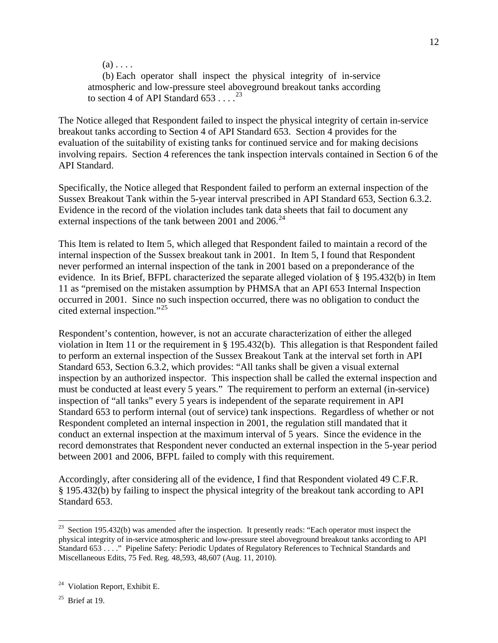$(a)$ ...

(b) Each operator shall inspect the physical integrity of in-service atmospheric and low-pressure steel aboveground breakout tanks according to section 4 of API Standard  $653...^{23}$  $653...^{23}$  $653...^{23}$ 

The Notice alleged that Respondent failed to inspect the physical integrity of certain in-service breakout tanks according to Section 4 of API Standard 653. Section 4 provides for the evaluation of the suitability of existing tanks for continued service and for making decisions involving repairs. Section 4 references the tank inspection intervals contained in Section 6 of the API Standard.

Specifically, the Notice alleged that Respondent failed to perform an external inspection of the Sussex Breakout Tank within the 5-year interval prescribed in API Standard 653, Section 6.3.2. Evidence in the record of the violation includes tank data sheets that fail to document any external inspections of the tank between 2001 and 2006.<sup>[24](#page-12-1)</sup>

This Item is related to Item 5, which alleged that Respondent failed to maintain a record of the internal inspection of the Sussex breakout tank in 2001. In Item 5, I found that Respondent never performed an internal inspection of the tank in 2001 based on a preponderance of the evidence. In its Brief, BFPL characterized the separate alleged violation of § 195.432(b) in Item 11 as "premised on the mistaken assumption by PHMSA that an API 653 Internal Inspection occurred in 2001. Since no such inspection occurred, there was no obligation to conduct the cited external inspection."[25](#page-12-2)

Respondent's contention, however, is not an accurate characterization of either the alleged violation in Item 11 or the requirement in § 195.432(b). This allegation is that Respondent failed to perform an external inspection of the Sussex Breakout Tank at the interval set forth in API Standard 653, Section 6.3.2, which provides: "All tanks shall be given a visual external inspection by an authorized inspector. This inspection shall be called the external inspection and must be conducted at least every 5 years." The requirement to perform an external (in-service) inspection of "all tanks" every 5 years is independent of the separate requirement in API Standard 653 to perform internal (out of service) tank inspections. Regardless of whether or not Respondent completed an internal inspection in 2001, the regulation still mandated that it conduct an external inspection at the maximum interval of 5 years. Since the evidence in the record demonstrates that Respondent never conducted an external inspection in the 5-year period between 2001 and 2006, BFPL failed to comply with this requirement.

Accordingly, after considering all of the evidence, I find that Respondent violated 49 C.F.R. § 195.432(b) by failing to inspect the physical integrity of the breakout tank according to API Standard 653.

<span id="page-12-0"></span><sup>&</sup>lt;sup>23</sup> Section 195.432(b) was amended after the inspection. It presently reads: "Each operator must inspect the physical integrity of in-service atmospheric and low-pressure steel aboveground breakout tanks according to API Standard 653 . . . ." Pipeline Safety: Periodic Updates of Regulatory References to Technical Standards and Miscellaneous Edits, 75 Fed. Reg. 48,593, 48,607 (Aug. 11, 2010).

<span id="page-12-1"></span><sup>&</sup>lt;sup>24</sup> Violation Report, Exhibit E.

<span id="page-12-2"></span> $25$  Brief at 19.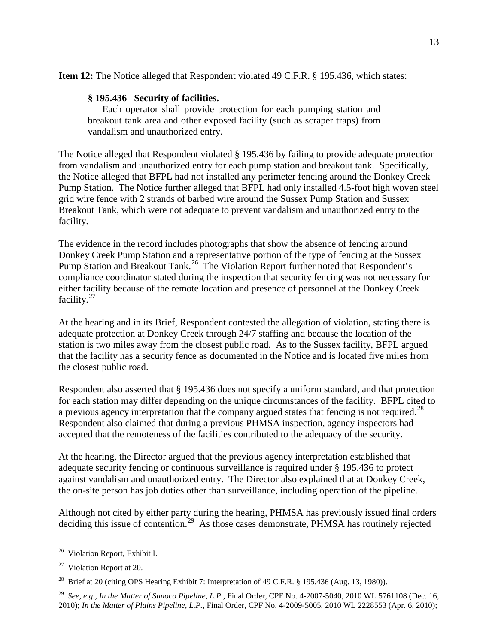**Item 12:** The Notice alleged that Respondent violated 49 C.F.R. § 195.436, which states:

## **§ 195.436 Security of facilities.**

Each operator shall provide protection for each pumping station and breakout tank area and other exposed facility (such as scraper traps) from vandalism and unauthorized entry.

The Notice alleged that Respondent violated § 195.436 by failing to provide adequate protection from vandalism and unauthorized entry for each pump station and breakout tank. Specifically, the Notice alleged that BFPL had not installed any perimeter fencing around the Donkey Creek Pump Station. The Notice further alleged that BFPL had only installed 4.5-foot high woven steel grid wire fence with 2 strands of barbed wire around the Sussex Pump Station and Sussex Breakout Tank, which were not adequate to prevent vandalism and unauthorized entry to the facility.

The evidence in the record includes photographs that show the absence of fencing around Donkey Creek Pump Station and a representative portion of the type of fencing at the Sussex Pump Station and Breakout Tank.<sup>26</sup> The Violation Report further noted that Respondent's compliance coordinator stated during the inspection that security fencing was not necessary for either facility because of the remote location and presence of personnel at the Donkey Creek facility.[27](#page-13-1)

At the hearing and in its Brief, Respondent contested the allegation of violation, stating there is adequate protection at Donkey Creek through 24/7 staffing and because the location of the station is two miles away from the closest public road. As to the Sussex facility, BFPL argued that the facility has a security fence as documented in the Notice and is located five miles from the closest public road.

Respondent also asserted that § 195.436 does not specify a uniform standard, and that protection for each station may differ depending on the unique circumstances of the facility. BFPL cited to a previous agency interpretation that the company argued states that fencing is not required.<sup>[28](#page-13-2)</sup> Respondent also claimed that during a previous PHMSA inspection, agency inspectors had accepted that the remoteness of the facilities contributed to the adequacy of the security.

At the hearing, the Director argued that the previous agency interpretation established that adequate security fencing or continuous surveillance is required under § 195.436 to protect against vandalism and unauthorized entry. The Director also explained that at Donkey Creek, the on-site person has job duties other than surveillance, including operation of the pipeline.

Although not cited by either party during the hearing, PHMSA has previously issued final orders deciding this issue of contention.<sup>[29](#page-13-3)</sup> As those cases demonstrate, PHMSA has routinely rejected

<span id="page-13-0"></span><sup>&</sup>lt;sup>26</sup> Violation Report, Exhibit I.

<span id="page-13-1"></span> $27$  Violation Report at 20.

<span id="page-13-2"></span><sup>&</sup>lt;sup>28</sup> Brief at 20 (citing OPS Hearing Exhibit 7: Interpretation of 49 C.F.R. § 195.436 (Aug. 13, 1980)).

<span id="page-13-3"></span><sup>29</sup> *See, e.g.*, *In the Matter of Sunoco Pipeline, L.P.*, Final Order, CPF No. 4-2007-5040, 2010 WL 5761108 (Dec. 16, 2010); *In the Matter of Plains Pipeline, L.P.*, Final Order, CPF No. 4-2009-5005, 2010 WL 2228553 (Apr. 6, 2010);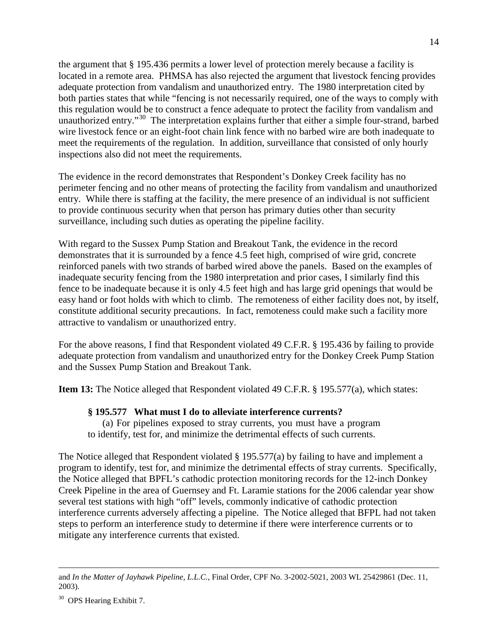the argument that § 195.436 permits a lower level of protection merely because a facility is located in a remote area. PHMSA has also rejected the argument that livestock fencing provides adequate protection from vandalism and unauthorized entry. The 1980 interpretation cited by both parties states that while "fencing is not necessarily required, one of the ways to comply with this regulation would be to construct a fence adequate to protect the facility from vandalism and unauthorized entry."[30](#page-14-0) The interpretation explains further that either a simple four-strand, barbed wire livestock fence or an eight-foot chain link fence with no barbed wire are both inadequate to meet the requirements of the regulation. In addition, surveillance that consisted of only hourly inspections also did not meet the requirements.

The evidence in the record demonstrates that Respondent's Donkey Creek facility has no perimeter fencing and no other means of protecting the facility from vandalism and unauthorized entry. While there is staffing at the facility, the mere presence of an individual is not sufficient to provide continuous security when that person has primary duties other than security surveillance, including such duties as operating the pipeline facility.

With regard to the Sussex Pump Station and Breakout Tank, the evidence in the record demonstrates that it is surrounded by a fence 4.5 feet high, comprised of wire grid, concrete reinforced panels with two strands of barbed wired above the panels. Based on the examples of inadequate security fencing from the 1980 interpretation and prior cases, I similarly find this fence to be inadequate because it is only 4.5 feet high and has large grid openings that would be easy hand or foot holds with which to climb. The remoteness of either facility does not, by itself, constitute additional security precautions. In fact, remoteness could make such a facility more attractive to vandalism or unauthorized entry.

For the above reasons, I find that Respondent violated 49 C.F.R. § 195.436 by failing to provide adequate protection from vandalism and unauthorized entry for the Donkey Creek Pump Station and the Sussex Pump Station and Breakout Tank.

**Item 13:** The Notice alleged that Respondent violated 49 C.F.R. § 195.577(a), which states:

### **§ 195.577 What must I do to alleviate interference currents?**

(a) For pipelines exposed to stray currents, you must have a program to identify, test for, and minimize the detrimental effects of such currents.

The Notice alleged that Respondent violated § 195.577(a) by failing to have and implement a program to identify, test for, and minimize the detrimental effects of stray currents. Specifically, the Notice alleged that BPFL's cathodic protection monitoring records for the 12-inch Donkey Creek Pipeline in the area of Guernsey and Ft. Laramie stations for the 2006 calendar year show several test stations with high "off" levels, commonly indicative of cathodic protection interference currents adversely affecting a pipeline. The Notice alleged that BFPL had not taken steps to perform an interference study to determine if there were interference currents or to mitigate any interference currents that existed.

 $\overline{a}$ 

and *In the Matter of Jayhawk Pipeline, L.L.C.*, Final Order, CPF No. 3-2002-5021, 2003 WL 25429861 (Dec. 11, 2003).

<span id="page-14-0"></span><sup>&</sup>lt;sup>30</sup> OPS Hearing Exhibit 7.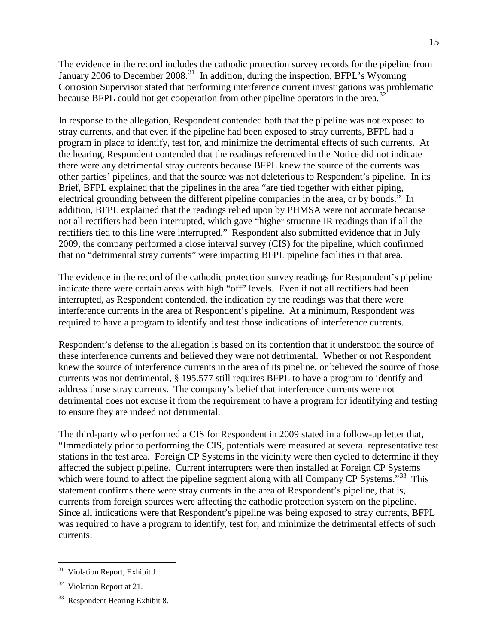The evidence in the record includes the cathodic protection survey records for the pipeline from January 2006 to December 2008.<sup>31</sup> In addition, during the inspection, BFPL's Wyoming Corrosion Supervisor stated that performing interference current investigations was problematic because BFPL could not get cooperation from other pipeline operators in the area.<sup>[32](#page-15-1)</sup>

In response to the allegation, Respondent contended both that the pipeline was not exposed to stray currents, and that even if the pipeline had been exposed to stray currents, BFPL had a program in place to identify, test for, and minimize the detrimental effects of such currents. At the hearing, Respondent contended that the readings referenced in the Notice did not indicate there were any detrimental stray currents because BFPL knew the source of the currents was other parties' pipelines, and that the source was not deleterious to Respondent's pipeline. In its Brief, BFPL explained that the pipelines in the area "are tied together with either piping, electrical grounding between the different pipeline companies in the area, or by bonds." In addition, BFPL explained that the readings relied upon by PHMSA were not accurate because not all rectifiers had been interrupted, which gave "higher structure IR readings than if all the rectifiers tied to this line were interrupted." Respondent also submitted evidence that in July 2009, the company performed a close interval survey (CIS) for the pipeline, which confirmed that no "detrimental stray currents" were impacting BFPL pipeline facilities in that area.

The evidence in the record of the cathodic protection survey readings for Respondent's pipeline indicate there were certain areas with high "off" levels. Even if not all rectifiers had been interrupted, as Respondent contended, the indication by the readings was that there were interference currents in the area of Respondent's pipeline. At a minimum, Respondent was required to have a program to identify and test those indications of interference currents.

Respondent's defense to the allegation is based on its contention that it understood the source of these interference currents and believed they were not detrimental. Whether or not Respondent knew the source of interference currents in the area of its pipeline, or believed the source of those currents was not detrimental, § 195.577 still requires BFPL to have a program to identify and address those stray currents. The company's belief that interference currents were not detrimental does not excuse it from the requirement to have a program for identifying and testing to ensure they are indeed not detrimental.

The third-party who performed a CIS for Respondent in 2009 stated in a follow-up letter that, "Immediately prior to performing the CIS, potentials were measured at several representative test stations in the test area. Foreign CP Systems in the vicinity were then cycled to determine if they affected the subject pipeline. Current interrupters were then installed at Foreign CP Systems which were found to affect the pipeline segment along with all Company CP Systems."<sup>33</sup> This statement confirms there were stray currents in the area of Respondent's pipeline, that is, currents from foreign sources were affecting the cathodic protection system on the pipeline. Since all indications were that Respondent's pipeline was being exposed to stray currents, BFPL was required to have a program to identify, test for, and minimize the detrimental effects of such currents.

<span id="page-15-0"></span><sup>&</sup>lt;sup>31</sup> Violation Report, Exhibit J.

<span id="page-15-1"></span><sup>&</sup>lt;sup>32</sup> Violation Report at 21.

<span id="page-15-2"></span><sup>&</sup>lt;sup>33</sup> Respondent Hearing Exhibit 8.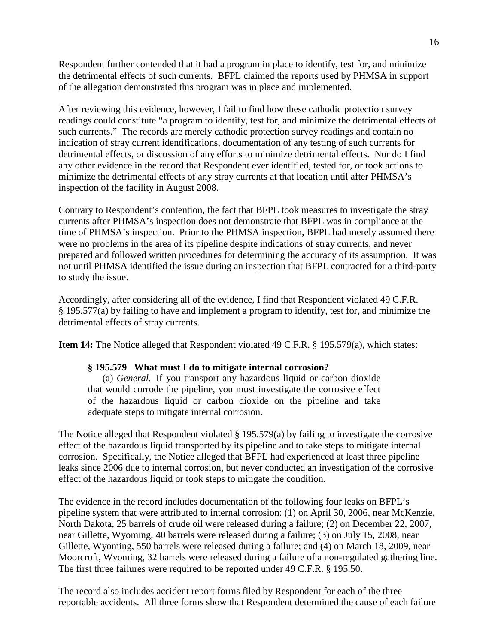Respondent further contended that it had a program in place to identify, test for, and minimize the detrimental effects of such currents. BFPL claimed the reports used by PHMSA in support of the allegation demonstrated this program was in place and implemented.

After reviewing this evidence, however, I fail to find how these cathodic protection survey readings could constitute "a program to identify, test for, and minimize the detrimental effects of such currents." The records are merely cathodic protection survey readings and contain no indication of stray current identifications, documentation of any testing of such currents for detrimental effects, or discussion of any efforts to minimize detrimental effects. Nor do I find any other evidence in the record that Respondent ever identified, tested for, or took actions to minimize the detrimental effects of any stray currents at that location until after PHMSA's inspection of the facility in August 2008.

Contrary to Respondent's contention, the fact that BFPL took measures to investigate the stray currents after PHMSA's inspection does not demonstrate that BFPL was in compliance at the time of PHMSA's inspection. Prior to the PHMSA inspection, BFPL had merely assumed there were no problems in the area of its pipeline despite indications of stray currents, and never prepared and followed written procedures for determining the accuracy of its assumption. It was not until PHMSA identified the issue during an inspection that BFPL contracted for a third-party to study the issue.

Accordingly, after considering all of the evidence, I find that Respondent violated 49 C.F.R. § 195.577(a) by failing to have and implement a program to identify, test for, and minimize the detrimental effects of stray currents.

**Item 14:** The Notice alleged that Respondent violated 49 C.F.R. § 195.579(a), which states:

### **§ 195.579 What must I do to mitigate internal corrosion?**

(a) *General.* If you transport any hazardous liquid or carbon dioxide that would corrode the pipeline, you must investigate the corrosive effect of the hazardous liquid or carbon dioxide on the pipeline and take adequate steps to mitigate internal corrosion.

The Notice alleged that Respondent violated  $\S$  195.579(a) by failing to investigate the corrosive effect of the hazardous liquid transported by its pipeline and to take steps to mitigate internal corrosion. Specifically, the Notice alleged that BFPL had experienced at least three pipeline leaks since 2006 due to internal corrosion, but never conducted an investigation of the corrosive effect of the hazardous liquid or took steps to mitigate the condition.

The evidence in the record includes documentation of the following four leaks on BFPL's pipeline system that were attributed to internal corrosion: (1) on April 30, 2006, near McKenzie, North Dakota, 25 barrels of crude oil were released during a failure; (2) on December 22, 2007, near Gillette, Wyoming, 40 barrels were released during a failure; (3) on July 15, 2008, near Gillette, Wyoming, 550 barrels were released during a failure; and (4) on March 18, 2009, near Moorcroft, Wyoming, 32 barrels were released during a failure of a non-regulated gathering line. The first three failures were required to be reported under 49 C.F.R. § 195.50.

The record also includes accident report forms filed by Respondent for each of the three reportable accidents. All three forms show that Respondent determined the cause of each failure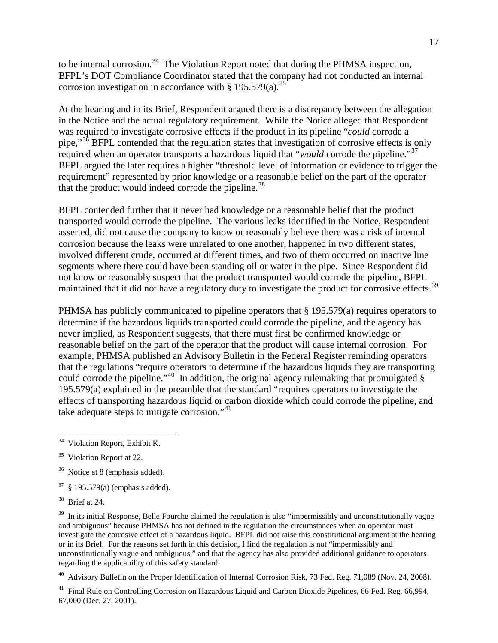to be internal corrosion.<sup>[34](#page-17-0)</sup> The Violation Report noted that during the PHMSA inspection, BFPL's DOT Compliance Coordinator stated that the company had not conducted an internal corrosion investigation in accordance with  $\S 195.579(a).$ <sup>[35](#page-17-1)</sup>

At the hearing and in its Brief, Respondent argued there is a discrepancy between the allegation in the Notice and the actual regulatory requirement. While the Notice alleged that Respondent was required to investigate corrosive effects if the product in its pipeline "*could* corrode a pipe,"<sup>[36](#page-17-2)</sup> BFPL contended that the regulation states that investigation of corrosive effects is only required when an operator transports a hazardous liquid that "*would* corrode the pipeline."[37](#page-17-3) BFPL argued the later requires a higher "threshold level of information or evidence to trigger the requirement" represented by prior knowledge or a reasonable belief on the part of the operator that the product would indeed corrode the pipeline.<sup>38</sup>

BFPL contended further that it never had knowledge or a reasonable belief that the product transported would corrode the pipeline. The various leaks identified in the Notice, Respondent asserted, did not cause the company to know or reasonably believe there was a risk of internal corrosion because the leaks were unrelated to one another, happened in two different states, involved different crude, occurred at different times, and two of them occurred on inactive line segments where there could have been standing oil or water in the pipe. Since Respondent did not know or reasonably suspect that the product transported would corrode the pipeline, BFPL maintained that it did not have a regulatory duty to investigate the product for corrosive effects.<sup>[39](#page-17-5)</sup>

PHMSA has publicly communicated to pipeline operators that § 195.579(a) requires operators to determine if the hazardous liquids transported could corrode the pipeline, and the agency has never implied, as Respondent suggests, that there must first be confirmed knowledge or reasonable belief on the part of the operator that the product will cause internal corrosion. For example, PHMSA published an Advisory Bulletin in the Federal Register reminding operators that the regulations "require operators to determine if the hazardous liquids they are transporting could corrode the pipeline."<sup>40</sup> In addition, the original agency rulemaking that promulgated  $\S$ 195.579(a) explained in the preamble that the standard "requires operators to investigate the effects of transporting hazardous liquid or carbon dioxide which could corrode the pipeline, and take adequate steps to mitigate corrosion."<sup>[41](#page-17-7)</sup>

<span id="page-17-6"></span><sup>40</sup> Advisory Bulletin on the Proper Identification of Internal Corrosion Risk, 73 Fed. Reg. 71,089 (Nov. 24, 2008).

<span id="page-17-7"></span><sup>41</sup> Final Rule on Controlling Corrosion on Hazardous Liquid and Carbon Dioxide Pipelines, 66 Fed. Reg. 66,994, 67,000 (Dec. 27, 2001).

<span id="page-17-0"></span><sup>&</sup>lt;sup>34</sup> Violation Report, Exhibit K.

<span id="page-17-1"></span><sup>&</sup>lt;sup>35</sup> Violation Report at 22.

<span id="page-17-2"></span><sup>&</sup>lt;sup>36</sup> Notice at 8 (emphasis added).

<span id="page-17-3"></span> $37 \& 195.579(a)$  (emphasis added).

<span id="page-17-4"></span> $38$  Brief at 24.

<span id="page-17-5"></span> $39$  In its initial Response, Belle Fourche claimed the regulation is also "impermissibly and unconstitutionally vague and ambiguous" because PHMSA has not defined in the regulation the circumstances when an operator must investigate the corrosive effect of a hazardous liquid. BFPL did not raise this constitutional argument at the hearing or in its Brief. For the reasons set forth in this decision, I find the regulation is not "impermissibly and unconstitutionally vague and ambiguous," and that the agency has also provided additional guidance to operators regarding the applicability of this safety standard.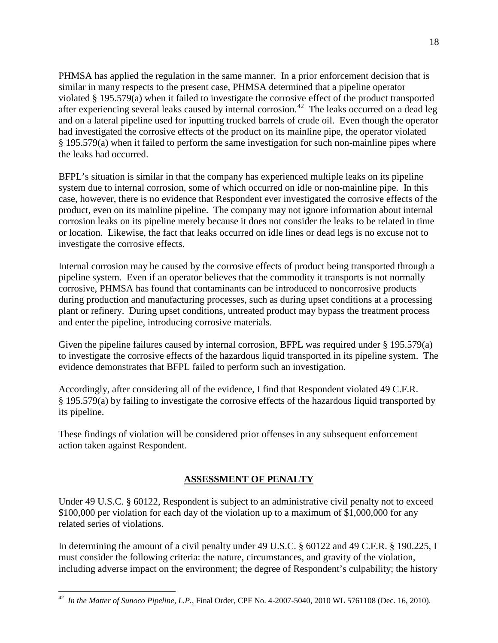PHMSA has applied the regulation in the same manner. In a prior enforcement decision that is similar in many respects to the present case, PHMSA determined that a pipeline operator violated § 195.579(a) when it failed to investigate the corrosive effect of the product transported after experiencing several leaks caused by internal corrosion.<sup>42</sup> The leaks occurred on a dead leg and on a lateral pipeline used for inputting trucked barrels of crude oil. Even though the operator had investigated the corrosive effects of the product on its mainline pipe, the operator violated § 195.579(a) when it failed to perform the same investigation for such non-mainline pipes where the leaks had occurred.

BFPL's situation is similar in that the company has experienced multiple leaks on its pipeline system due to internal corrosion, some of which occurred on idle or non-mainline pipe. In this case, however, there is no evidence that Respondent ever investigated the corrosive effects of the product, even on its mainline pipeline. The company may not ignore information about internal corrosion leaks on its pipeline merely because it does not consider the leaks to be related in time or location. Likewise, the fact that leaks occurred on idle lines or dead legs is no excuse not to investigate the corrosive effects.

Internal corrosion may be caused by the corrosive effects of product being transported through a pipeline system. Even if an operator believes that the commodity it transports is not normally corrosive, PHMSA has found that contaminants can be introduced to noncorrosive products during production and manufacturing processes, such as during upset conditions at a processing plant or refinery. During upset conditions, untreated product may bypass the treatment process and enter the pipeline, introducing corrosive materials.

Given the pipeline failures caused by internal corrosion, BFPL was required under § 195.579(a) to investigate the corrosive effects of the hazardous liquid transported in its pipeline system. The evidence demonstrates that BFPL failed to perform such an investigation.

Accordingly, after considering all of the evidence, I find that Respondent violated 49 C.F.R. § 195.579(a) by failing to investigate the corrosive effects of the hazardous liquid transported by its pipeline.

These findings of violation will be considered prior offenses in any subsequent enforcement action taken against Respondent.

## **ASSESSMENT OF PENALTY**

Under 49 U.S.C. § 60122, Respondent is subject to an administrative civil penalty not to exceed \$100,000 per violation for each day of the violation up to a maximum of \$1,000,000 for any related series of violations.

In determining the amount of a civil penalty under 49 U.S.C. § 60122 and 49 C.F.R. § 190.225, I must consider the following criteria: the nature, circumstances, and gravity of the violation, including adverse impact on the environment; the degree of Respondent's culpability; the history

<span id="page-18-0"></span> <sup>42</sup> *In the Matter of Sunoco Pipeline, L.P.*, Final Order, CPF No. 4-2007-5040, 2010 WL 5761108 (Dec. 16, 2010).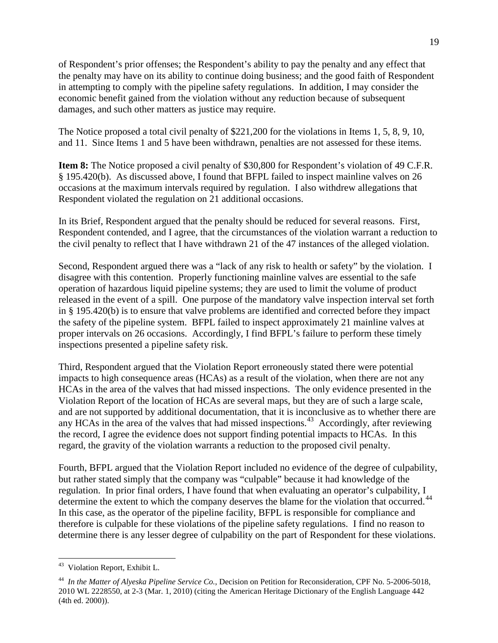of Respondent's prior offenses; the Respondent's ability to pay the penalty and any effect that the penalty may have on its ability to continue doing business; and the good faith of Respondent in attempting to comply with the pipeline safety regulations. In addition, I may consider the economic benefit gained from the violation without any reduction because of subsequent damages, and such other matters as justice may require.

The Notice proposed a total civil penalty of \$221,200 for the violations in Items 1, 5, 8, 9, 10, and 11. Since Items 1 and 5 have been withdrawn, penalties are not assessed for these items.

**Item 8:** The Notice proposed a civil penalty of \$30,800 for Respondent's violation of 49 C.F.R. § 195.420(b). As discussed above, I found that BFPL failed to inspect mainline valves on 26 occasions at the maximum intervals required by regulation. I also withdrew allegations that Respondent violated the regulation on 21 additional occasions.

In its Brief, Respondent argued that the penalty should be reduced for several reasons. First, Respondent contended, and I agree, that the circumstances of the violation warrant a reduction to the civil penalty to reflect that I have withdrawn 21 of the 47 instances of the alleged violation.

Second, Respondent argued there was a "lack of any risk to health or safety" by the violation. I disagree with this contention. Properly functioning mainline valves are essential to the safe operation of hazardous liquid pipeline systems; they are used to limit the volume of product released in the event of a spill. One purpose of the mandatory valve inspection interval set forth in § 195.420(b) is to ensure that valve problems are identified and corrected before they impact the safety of the pipeline system. BFPL failed to inspect approximately 21 mainline valves at proper intervals on 26 occasions. Accordingly, I find BFPL's failure to perform these timely inspections presented a pipeline safety risk.

Third, Respondent argued that the Violation Report erroneously stated there were potential impacts to high consequence areas (HCAs) as a result of the violation, when there are not any HCAs in the area of the valves that had missed inspections. The only evidence presented in the Violation Report of the location of HCAs are several maps, but they are of such a large scale, and are not supported by additional documentation, that it is inconclusive as to whether there are any HCAs in the area of the valves that had missed inspections.<sup>43</sup> Accordingly, after reviewing the record, I agree the evidence does not support finding potential impacts to HCAs. In this regard, the gravity of the violation warrants a reduction to the proposed civil penalty.

Fourth, BFPL argued that the Violation Report included no evidence of the degree of culpability, but rather stated simply that the company was "culpable" because it had knowledge of the regulation. In prior final orders, I have found that when evaluating an operator's culpability, I determine the extent to which the company deserves the blame for the violation that occurred.<sup>[44](#page-19-1)</sup> In this case, as the operator of the pipeline facility, BFPL is responsible for compliance and therefore is culpable for these violations of the pipeline safety regulations. I find no reason to determine there is any lesser degree of culpability on the part of Respondent for these violations.

<span id="page-19-0"></span> <sup>43</sup> Violation Report, Exhibit L.

<span id="page-19-1"></span><sup>44</sup> *In the Matter of Alyeska Pipeline Service Co.*, Decision on Petition for Reconsideration, CPF No. 5-2006-5018, 2010 WL 2228550, at 2-3 (Mar. 1, 2010) (citing the American Heritage Dictionary of the English Language 442 (4th ed. 2000)).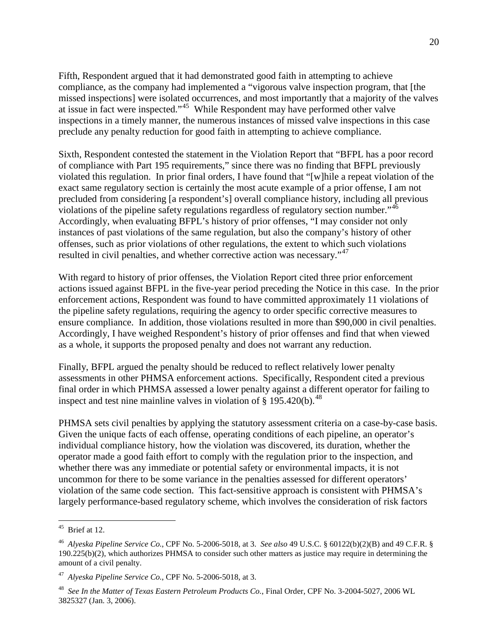Fifth, Respondent argued that it had demonstrated good faith in attempting to achieve compliance, as the company had implemented a "vigorous valve inspection program, that [the missed inspections] were isolated occurrences, and most importantly that a majority of the valves at issue in fact were inspected."<sup>45</sup> While Respondent may have performed other valve inspections in a timely manner, the numerous instances of missed valve inspections in this case preclude any penalty reduction for good faith in attempting to achieve compliance.

Sixth, Respondent contested the statement in the Violation Report that "BFPL has a poor record of compliance with Part 195 requirements," since there was no finding that BFPL previously violated this regulation. In prior final orders, I have found that "[w]hile a repeat violation of the exact same regulatory section is certainly the most acute example of a prior offense, I am not precluded from considering [a respondent's] overall compliance history, including all previous violations of the pipeline safety regulations regardless of regulatory section number.<sup>[46](#page-20-1)</sup> Accordingly, when evaluating BFPL's history of prior offenses, "I may consider not only instances of past violations of the same regulation, but also the company's history of other offenses, such as prior violations of other regulations, the extent to which such violations resulted in civil penalties, and whether corrective action was necessary."<sup>47</sup>

With regard to history of prior offenses, the Violation Report cited three prior enforcement actions issued against BFPL in the five-year period preceding the Notice in this case. In the prior enforcement actions, Respondent was found to have committed approximately 11 violations of the pipeline safety regulations, requiring the agency to order specific corrective measures to ensure compliance. In addition, those violations resulted in more than \$90,000 in civil penalties. Accordingly, I have weighed Respondent's history of prior offenses and find that when viewed as a whole, it supports the proposed penalty and does not warrant any reduction.

Finally, BFPL argued the penalty should be reduced to reflect relatively lower penalty assessments in other PHMSA enforcement actions. Specifically, Respondent cited a previous final order in which PHMSA assessed a lower penalty against a different operator for failing to inspect and test nine mainline valves in violation of  $\S$  195.420(b).<sup>[48](#page-20-3)</sup>

PHMSA sets civil penalties by applying the statutory assessment criteria on a case-by-case basis. Given the unique facts of each offense, operating conditions of each pipeline, an operator's individual compliance history, how the violation was discovered, its duration, whether the operator made a good faith effort to comply with the regulation prior to the inspection, and whether there was any immediate or potential safety or environmental impacts, it is not uncommon for there to be some variance in the penalties assessed for different operators' violation of the same code section. This fact-sensitive approach is consistent with PHMSA's largely performance-based regulatory scheme, which involves the consideration of risk factors

<span id="page-20-0"></span> $45$  Brief at 12.

<span id="page-20-1"></span><sup>46</sup> *Alyeska Pipeline Service Co.*, CPF No. 5-2006-5018, at 3. *See also* 49 U.S.C. § 60122(b)(2)(B) and 49 C.F.R. § 190.225(b)(2), which authorizes PHMSA to consider such other matters as justice may require in determining the amount of a civil penalty.

<span id="page-20-2"></span><sup>47</sup> *Alyeska Pipeline Service Co.*, CPF No. 5-2006-5018, at 3.

<span id="page-20-3"></span><sup>48</sup> *See In the Matter of Texas Eastern Petroleum Products Co.*, Final Order, CPF No. 3-2004-5027, 2006 WL 3825327 (Jan. 3, 2006).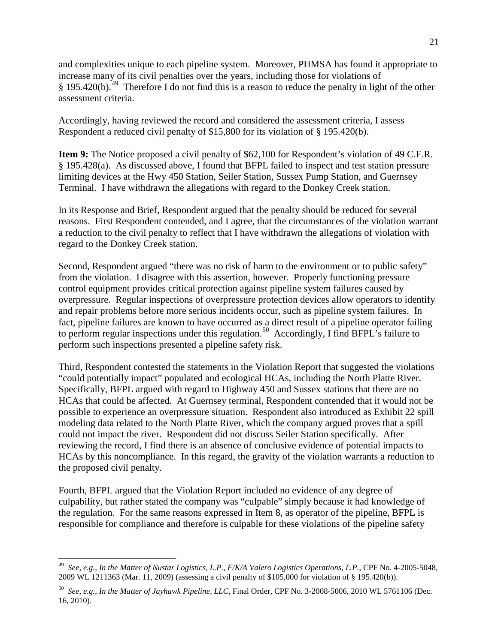and complexities unique to each pipeline system. Moreover, PHMSA has found it appropriate to increase many of its civil penalties over the years, including those for violations of § 195.420(b).<sup>49</sup> Therefore I do not find this is a reason to reduce the penalty in light of the other assessment criteria.

Accordingly, having reviewed the record and considered the assessment criteria, I assess Respondent a reduced civil penalty of \$15,800 for its violation of § 195.420(b).

**Item 9:** The Notice proposed a civil penalty of \$62,100 for Respondent's violation of 49 C.F.R. § 195.428(a). As discussed above, I found that BFPL failed to inspect and test station pressure limiting devices at the Hwy 450 Station, Seiler Station, Sussex Pump Station, and Guernsey Terminal. I have withdrawn the allegations with regard to the Donkey Creek station.

In its Response and Brief, Respondent argued that the penalty should be reduced for several reasons. First Respondent contended, and I agree, that the circumstances of the violation warrant a reduction to the civil penalty to reflect that I have withdrawn the allegations of violation with regard to the Donkey Creek station.

Second, Respondent argued "there was no risk of harm to the environment or to public safety" from the violation. I disagree with this assertion, however. Properly functioning pressure control equipment provides critical protection against pipeline system failures caused by overpressure. Regular inspections of overpressure protection devices allow operators to identify and repair problems before more serious incidents occur, such as pipeline system failures. In fact, pipeline failures are known to have occurred as a direct result of a pipeline operator failing to perform regular inspections under this regulation.<sup>50</sup> Accordingly, I find BFPL's failure to perform such inspections presented a pipeline safety risk.

Third, Respondent contested the statements in the Violation Report that suggested the violations "could potentially impact" populated and ecological HCAs, including the North Platte River. Specifically, BFPL argued with regard to Highway 450 and Sussex stations that there are no HCAs that could be affected. At Guernsey terminal, Respondent contended that it would not be possible to experience an overpressure situation. Respondent also introduced as Exhibit 22 spill modeling data related to the North Platte River, which the company argued proves that a spill could not impact the river. Respondent did not discuss Seiler Station specifically. After reviewing the record, I find there is an absence of conclusive evidence of potential impacts to HCAs by this noncompliance. In this regard, the gravity of the violation warrants a reduction to the proposed civil penalty.

Fourth, BFPL argued that the Violation Report included no evidence of any degree of culpability, but rather stated the company was "culpable" simply because it had knowledge of the regulation. For the same reasons expressed in Item 8, as operator of the pipeline, BFPL is responsible for compliance and therefore is culpable for these violations of the pipeline safety

<span id="page-21-0"></span> <sup>49</sup> *See, e.g., In the Matter of Nustar Logistics, L.P., F/K/A Valero Logistics Operations, L.P.*, CPF No. 4-2005-5048, 2009 WL 1211363 (Mar. 11, 2009) (assessing a civil penalty of \$105,000 for violation of § 195.420(b)).

<span id="page-21-1"></span><sup>50</sup> *See, e.g.*, *In the Matter of Jayhawk Pipeline, LLC*, Final Order, CPF No. 3-2008-5006, 2010 WL 5761106 (Dec. 16, 2010).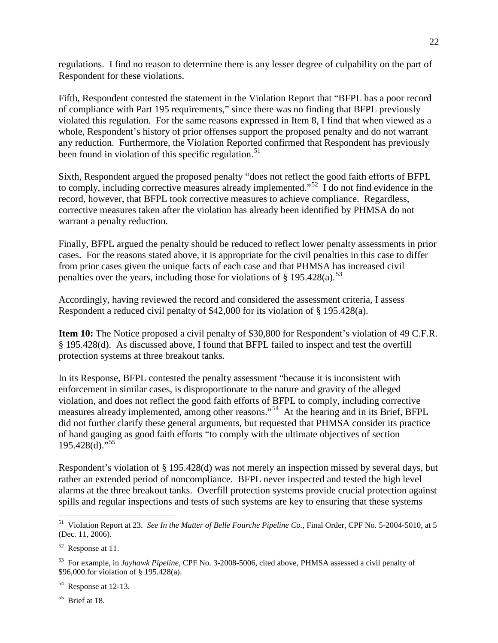regulations. I find no reason to determine there is any lesser degree of culpability on the part of Respondent for these violations.

Fifth, Respondent contested the statement in the Violation Report that "BFPL has a poor record of compliance with Part 195 requirements," since there was no finding that BFPL previously violated this regulation. For the same reasons expressed in Item 8, I find that when viewed as a whole, Respondent's history of prior offenses support the proposed penalty and do not warrant any reduction. Furthermore, the Violation Reported confirmed that Respondent has previously been found in violation of this specific regulation.<sup>[51](#page-22-0)</sup>

Sixth, Respondent argued the proposed penalty "does not reflect the good faith efforts of BFPL to comply, including corrective measures already implemented."<sup>[52](#page-22-1)</sup> I do not find evidence in the record, however, that BFPL took corrective measures to achieve compliance. Regardless, corrective measures taken after the violation has already been identified by PHMSA do not warrant a penalty reduction.

Finally, BFPL argued the penalty should be reduced to reflect lower penalty assessments in prior cases. For the reasons stated above, it is appropriate for the civil penalties in this case to differ from prior cases given the unique facts of each case and that PHMSA has increased civil penalties over the years, including those for violations of  $\S$  195.428(a).<sup>[53](#page-22-2)</sup>

Accordingly, having reviewed the record and considered the assessment criteria, I assess Respondent a reduced civil penalty of \$42,000 for its violation of § 195.428(a).

**Item 10:** The Notice proposed a civil penalty of \$30,800 for Respondent's violation of 49 C.F.R. § 195.428(d). As discussed above, I found that BFPL failed to inspect and test the overfill protection systems at three breakout tanks.

In its Response, BFPL contested the penalty assessment "because it is inconsistent with enforcement in similar cases, is disproportionate to the nature and gravity of the alleged violation, and does not reflect the good faith efforts of BFPL to comply, including corrective measures already implemented, among other reasons."<sup>54</sup> At the hearing and in its Brief, BFPL did not further clarify these general arguments, but requested that PHMSA consider its practice of hand gauging as good faith efforts "to comply with the ultimate objectives of section  $195.428(d)$ ."<sup>[55](#page-22-4)</sup>

Respondent's violation of § 195.428(d) was not merely an inspection missed by several days, but rather an extended period of noncompliance. BFPL never inspected and tested the high level alarms at the three breakout tanks. Overfill protection systems provide crucial protection against spills and regular inspections and tests of such systems are key to ensuring that these systems

<span id="page-22-4"></span>55 Brief at 18.

<span id="page-22-0"></span> <sup>51</sup> Violation Report at 23. *See In the Matter of Belle Fourche Pipeline Co.*, Final Order, CPF No. 5-2004-5010, at 5 (Dec. 11, 2006).

<span id="page-22-1"></span> $52$  Response at 11.

<span id="page-22-2"></span><sup>53</sup> For example, in *Jayhawk Pipeline*, CPF No. 3-2008-5006, cited above, PHMSA assessed a civil penalty of \$96,000 for violation of § 195.428(a).

<span id="page-22-3"></span><sup>54</sup> Response at 12-13.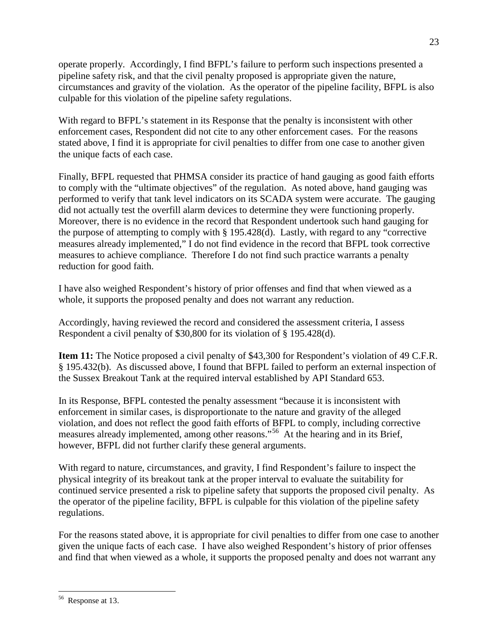operate properly. Accordingly, I find BFPL's failure to perform such inspections presented a pipeline safety risk, and that the civil penalty proposed is appropriate given the nature, circumstances and gravity of the violation. As the operator of the pipeline facility, BFPL is also culpable for this violation of the pipeline safety regulations.

With regard to BFPL's statement in its Response that the penalty is inconsistent with other enforcement cases, Respondent did not cite to any other enforcement cases. For the reasons stated above, I find it is appropriate for civil penalties to differ from one case to another given the unique facts of each case.

Finally, BFPL requested that PHMSA consider its practice of hand gauging as good faith efforts to comply with the "ultimate objectives" of the regulation. As noted above, hand gauging was performed to verify that tank level indicators on its SCADA system were accurate. The gauging did not actually test the overfill alarm devices to determine they were functioning properly. Moreover, there is no evidence in the record that Respondent undertook such hand gauging for the purpose of attempting to comply with § 195.428(d). Lastly, with regard to any "corrective measures already implemented," I do not find evidence in the record that BFPL took corrective measures to achieve compliance. Therefore I do not find such practice warrants a penalty reduction for good faith.

I have also weighed Respondent's history of prior offenses and find that when viewed as a whole, it supports the proposed penalty and does not warrant any reduction.

Accordingly, having reviewed the record and considered the assessment criteria, I assess Respondent a civil penalty of \$30,800 for its violation of § 195.428(d).

**Item 11:** The Notice proposed a civil penalty of \$43,300 for Respondent's violation of 49 C.F.R. § 195.432(b). As discussed above, I found that BFPL failed to perform an external inspection of the Sussex Breakout Tank at the required interval established by API Standard 653.

In its Response, BFPL contested the penalty assessment "because it is inconsistent with enforcement in similar cases, is disproportionate to the nature and gravity of the alleged violation, and does not reflect the good faith efforts of BFPL to comply, including corrective measures already implemented, among other reasons."[56](#page-23-0) At the hearing and in its Brief, however, BFPL did not further clarify these general arguments.

With regard to nature, circumstances, and gravity, I find Respondent's failure to inspect the physical integrity of its breakout tank at the proper interval to evaluate the suitability for continued service presented a risk to pipeline safety that supports the proposed civil penalty. As the operator of the pipeline facility, BFPL is culpable for this violation of the pipeline safety regulations.

For the reasons stated above, it is appropriate for civil penalties to differ from one case to another given the unique facts of each case. I have also weighed Respondent's history of prior offenses and find that when viewed as a whole, it supports the proposed penalty and does not warrant any

<span id="page-23-0"></span> <sup>56</sup> Response at 13.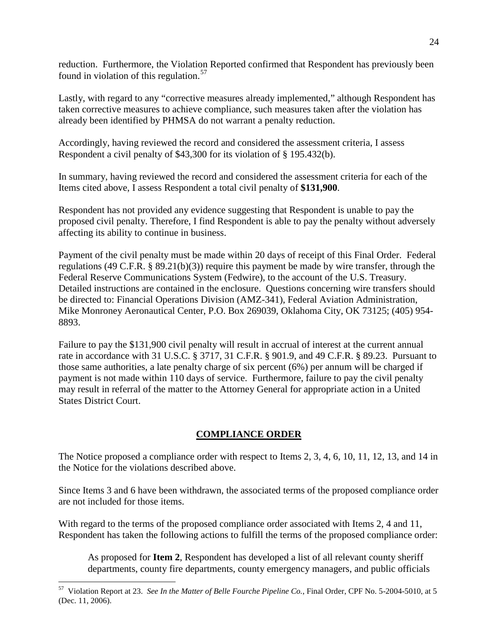reduction. Furthermore, the Violation Reported confirmed that Respondent has previously been found in violation of this regulation. $57$ 

Lastly, with regard to any "corrective measures already implemented," although Respondent has taken corrective measures to achieve compliance, such measures taken after the violation has already been identified by PHMSA do not warrant a penalty reduction.

Accordingly, having reviewed the record and considered the assessment criteria, I assess Respondent a civil penalty of \$43,300 for its violation of § 195.432(b).

In summary, having reviewed the record and considered the assessment criteria for each of the Items cited above, I assess Respondent a total civil penalty of **\$131,900**.

Respondent has not provided any evidence suggesting that Respondent is unable to pay the proposed civil penalty. Therefore, I find Respondent is able to pay the penalty without adversely affecting its ability to continue in business.

Payment of the civil penalty must be made within 20 days of receipt of this Final Order. Federal regulations (49 C.F.R. § 89.21(b)(3)) require this payment be made by wire transfer, through the Federal Reserve Communications System (Fedwire), to the account of the U.S. Treasury. Detailed instructions are contained in the enclosure. Questions concerning wire transfers should be directed to: Financial Operations Division (AMZ-341), Federal Aviation Administration, Mike Monroney Aeronautical Center, P.O. Box 269039, Oklahoma City, OK 73125; (405) 954- 8893.

Failure to pay the \$131,900 civil penalty will result in accrual of interest at the current annual rate in accordance with 31 U.S.C. § 3717, 31 C.F.R. § 901.9, and 49 C.F.R. § 89.23. Pursuant to those same authorities, a late penalty charge of six percent (6%) per annum will be charged if payment is not made within 110 days of service. Furthermore, failure to pay the civil penalty may result in referral of the matter to the Attorney General for appropriate action in a United States District Court.

## **COMPLIANCE ORDER**

The Notice proposed a compliance order with respect to Items 2, 3, 4, 6, 10, 11, 12, 13, and 14 in the Notice for the violations described above.

Since Items 3 and 6 have been withdrawn, the associated terms of the proposed compliance order are not included for those items.

With regard to the terms of the proposed compliance order associated with Items 2, 4 and 11, Respondent has taken the following actions to fulfill the terms of the proposed compliance order:

As proposed for **Item 2**, Respondent has developed a list of all relevant county sheriff departments, county fire departments, county emergency managers, and public officials

<span id="page-24-0"></span> <sup>57</sup> Violation Report at 23. *See In the Matter of Belle Fourche Pipeline Co.*, Final Order, CPF No. 5-2004-5010, at 5 (Dec. 11, 2006).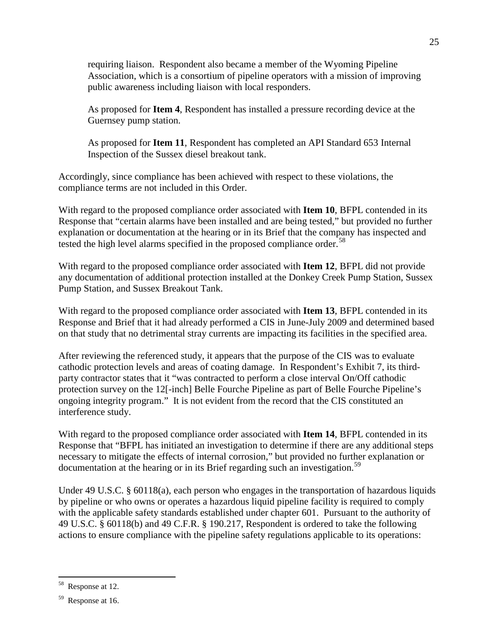requiring liaison. Respondent also became a member of the Wyoming Pipeline Association, which is a consortium of pipeline operators with a mission of improving public awareness including liaison with local responders.

As proposed for **Item 4**, Respondent has installed a pressure recording device at the Guernsey pump station.

As proposed for **Item 11**, Respondent has completed an API Standard 653 Internal Inspection of the Sussex diesel breakout tank.

Accordingly, since compliance has been achieved with respect to these violations, the compliance terms are not included in this Order.

With regard to the proposed compliance order associated with **Item 10**, BFPL contended in its Response that "certain alarms have been installed and are being tested," but provided no further explanation or documentation at the hearing or in its Brief that the company has inspected and tested the high level alarms specified in the proposed compliance order.<sup>58</sup>

With regard to the proposed compliance order associated with **Item 12**, BFPL did not provide any documentation of additional protection installed at the Donkey Creek Pump Station, Sussex Pump Station, and Sussex Breakout Tank.

With regard to the proposed compliance order associated with **Item 13**, BFPL contended in its Response and Brief that it had already performed a CIS in June-July 2009 and determined based on that study that no detrimental stray currents are impacting its facilities in the specified area.

After reviewing the referenced study, it appears that the purpose of the CIS was to evaluate cathodic protection levels and areas of coating damage. In Respondent's Exhibit 7, its thirdparty contractor states that it "was contracted to perform a close interval On/Off cathodic protection survey on the 12[-inch] Belle Fourche Pipeline as part of Belle Fourche Pipeline's ongoing integrity program." It is not evident from the record that the CIS constituted an interference study.

With regard to the proposed compliance order associated with **Item 14**, BFPL contended in its Response that "BFPL has initiated an investigation to determine if there are any additional steps necessary to mitigate the effects of internal corrosion," but provided no further explanation or documentation at the hearing or in its Brief regarding such an investigation.<sup>[59](#page-25-1)</sup>

Under 49 U.S.C. § 60118(a), each person who engages in the transportation of hazardous liquids by pipeline or who owns or operates a hazardous liquid pipeline facility is required to comply with the applicable safety standards established under chapter 601. Pursuant to the authority of 49 U.S.C. § 60118(b) and 49 C.F.R. § 190.217, Respondent is ordered to take the following actions to ensure compliance with the pipeline safety regulations applicable to its operations:

<span id="page-25-0"></span>Response at 12.

<span id="page-25-1"></span><sup>59</sup> Response at 16.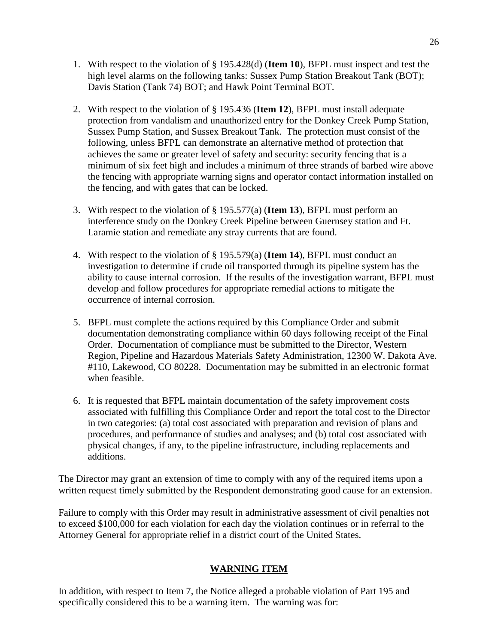- 1. With respect to the violation of § 195.428(d) (**Item 10**), BFPL must inspect and test the high level alarms on the following tanks: Sussex Pump Station Breakout Tank (BOT); Davis Station (Tank 74) BOT; and Hawk Point Terminal BOT.
- 2. With respect to the violation of § 195.436 (**Item 12**), BFPL must install adequate protection from vandalism and unauthorized entry for the Donkey Creek Pump Station, Sussex Pump Station, and Sussex Breakout Tank. The protection must consist of the following, unless BFPL can demonstrate an alternative method of protection that achieves the same or greater level of safety and security: security fencing that is a minimum of six feet high and includes a minimum of three strands of barbed wire above the fencing with appropriate warning signs and operator contact information installed on the fencing, and with gates that can be locked.
- 3. With respect to the violation of § 195.577(a) (**Item 13**), BFPL must perform an interference study on the Donkey Creek Pipeline between Guernsey station and Ft. Laramie station and remediate any stray currents that are found.
- 4. With respect to the violation of § 195.579(a) (**Item 14**), BFPL must conduct an investigation to determine if crude oil transported through its pipeline system has the ability to cause internal corrosion. If the results of the investigation warrant, BFPL must develop and follow procedures for appropriate remedial actions to mitigate the occurrence of internal corrosion.
- 5. BFPL must complete the actions required by this Compliance Order and submit documentation demonstrating compliance within 60 days following receipt of the Final Order. Documentation of compliance must be submitted to the Director, Western Region, Pipeline and Hazardous Materials Safety Administration, 12300 W. Dakota Ave. #110, Lakewood, CO 80228. Documentation may be submitted in an electronic format when feasible.
- 6. It is requested that BFPL maintain documentation of the safety improvement costs associated with fulfilling this Compliance Order and report the total cost to the Director in two categories: (a) total cost associated with preparation and revision of plans and procedures, and performance of studies and analyses; and (b) total cost associated with physical changes, if any, to the pipeline infrastructure, including replacements and additions.

The Director may grant an extension of time to comply with any of the required items upon a written request timely submitted by the Respondent demonstrating good cause for an extension.

Failure to comply with this Order may result in administrative assessment of civil penalties not to exceed \$100,000 for each violation for each day the violation continues or in referral to the Attorney General for appropriate relief in a district court of the United States.

## **WARNING ITEM**

In addition, with respect to Item 7, the Notice alleged a probable violation of Part 195 and specifically considered this to be a warning item. The warning was for: